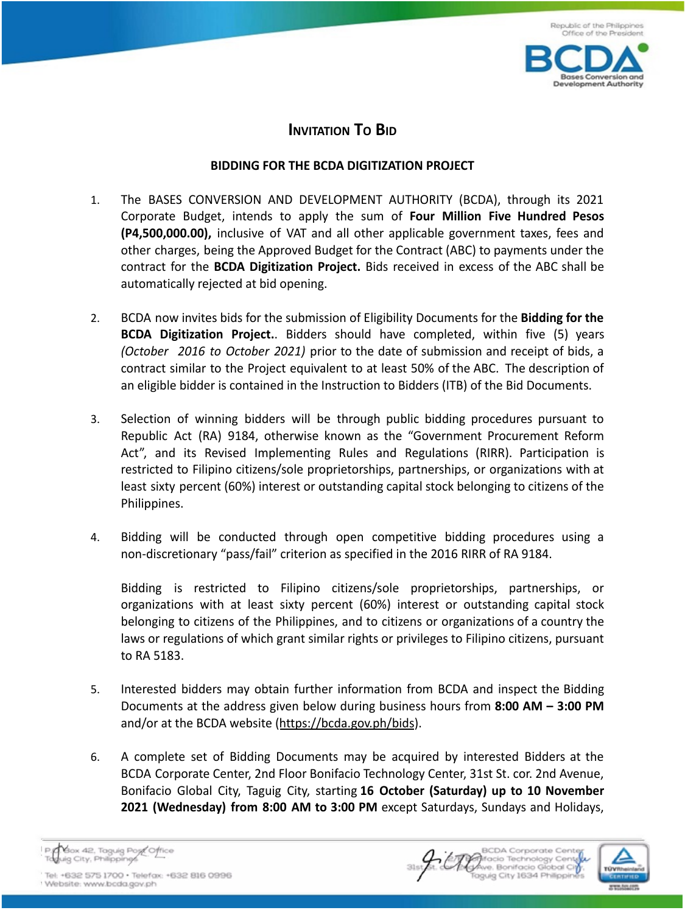

## **INVITATION TO BID**

## **BIDDING FOR THE BCDA DIGITIZATION PROJECT**

- 1. The BASES CONVERSION AND DEVELOPMENT AUTHORITY (BCDA), through its 2021 Corporate Budget, intends to apply the sum of **Four Million Five Hundred Pesos (P4,500,000.00),** inclusive of VAT and all other applicable government taxes, fees and other charges, being the Approved Budget for the Contract (ABC) to payments under the contract for the **BCDA Digitization Project.** Bids received in excess of the ABC shall be automatically rejected at bid opening.
- 2. BCDA now invites bids for the submission of Eligibility Documents for the **Bidding for the BCDA Digitization Project.**. Bidders should have completed, within five (5) years *(October 2016 to October 2021)* prior to the date of submission and receipt of bids, a contract similar to the Project equivalent to at least 50% of the ABC. The description of an eligible bidder is contained in the Instruction to Bidders (ITB) of the Bid Documents.
- 3. Selection of winning bidders will be through public bidding procedures pursuant to Republic Act (RA) 9184, otherwise known as the "Government Procurement Reform Act", and its Revised Implementing Rules and Regulations (RIRR). Participation is restricted to Filipino citizens/sole proprietorships, partnerships, or organizations with at least sixty percent (60%) interest or outstanding capital stock belonging to citizens of the Philippines.
- 4. Bidding will be conducted through open competitive bidding procedures using a non-discretionary "pass/fail" criterion as specified in the 2016 RIRR of RA 9184.

Bidding is restricted to Filipino citizens/sole proprietorships, partnerships, or organizations with at least sixty percent (60%) interest or outstanding capital stock belonging to citizens of the Philippines, and to citizens or organizations of a country the laws or regulations of which grant similar rights or privileges to Filipino citizens, pursuant to RA 5183.

- 5. Interested bidders may obtain further information from BCDA and inspect the Bidding Documents at the address given below during business hours from **8:00 AM – 3:00 PM** and/or at the BCDA website (https://bcda.gov.ph/bids).
- 6. A complete set of Bidding Documents may be acquired by interested Bidders at the BCDA Corporate Center, 2nd Floor Bonifacio Technology Center, 31st St. cor. 2nd Avenue, Bonifacio Global City, Taguig City, starting **16 October (Saturday) up to 10 November 2021 (Wednesday) from 8:00 AM to 3:00 PM** except Saturdays, Sundays and Holidays,

Yox 42, Taguig Port Office quig City, Philippines



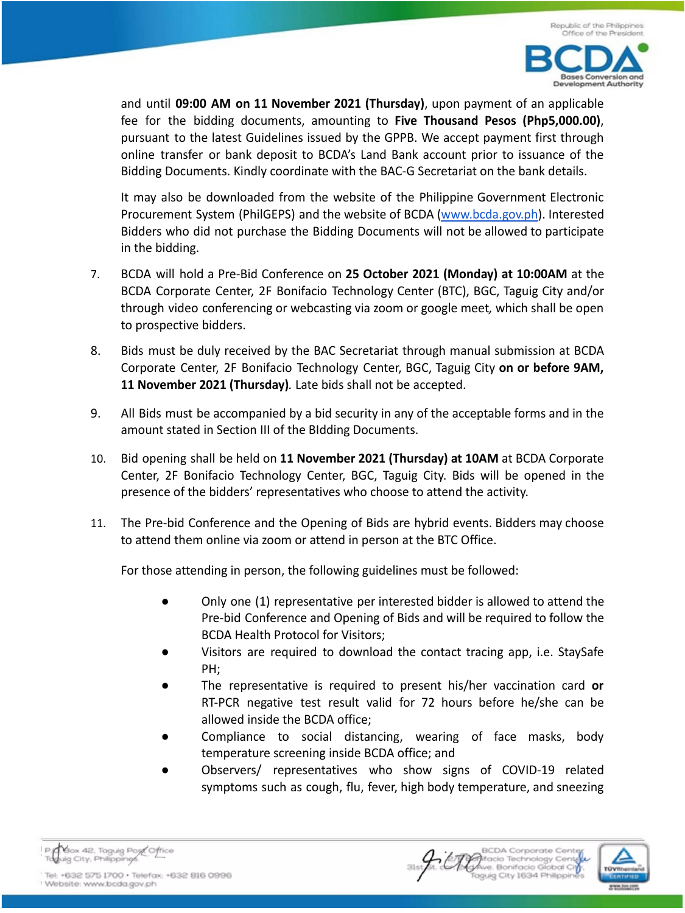

and until **09:00 AM on 11 November 2021 (Thursday)**, upon payment of an applicable fee for the bidding documents, amounting to **Five Thousand Pesos (Php5,000.00)**, pursuant to the latest Guidelines issued by the GPPB. We accept payment first through online transfer or bank deposit to BCDA's Land Bank account prior to issuance of the Bidding Documents. Kindly coordinate with the BAC-G Secretariat on the bank details.

It may also be downloaded from the website of the Philippine Government Electronic Procurement System (PhilGEPS) and the website of BCDA (www.bcda.gov.ph). Interested Bidders who did not purchase the Bidding Documents will not be allowed to participate in the bidding.

- 7. BCDA will hold a Pre-Bid Conference on **25 October 2021 (Monday) at 10:00AM** at the BCDA Corporate Center, 2F Bonifacio Technology Center (BTC), BGC, Taguig City and/or through video conferencing or webcasting via zoom or google meet*,* which shall be open to prospective bidders.
- 8. Bids must be duly received by the BAC Secretariat through manual submission at BCDA Corporate Center, 2F Bonifacio Technology Center, BGC, Taguig City **on or before 9AM, 11 November 2021 (Thursday)***.* Late bids shall not be accepted.
- 9. All Bids must be accompanied by a bid security in any of the acceptable forms and in the amount stated in Section III of the BIdding Documents.
- 10. Bid opening shall be held on **11 November 2021 (Thursday) at 10AM** at BCDA Corporate Center, 2F Bonifacio Technology Center, BGC, Taguig City. Bids will be opened in the presence of the bidders' representatives who choose to attend the activity.
- 11. The Pre-bid Conference and the Opening of Bids are hybrid events. Bidders may choose to attend them online via zoom or attend in person at the BTC Office.

For those attending in person, the following guidelines must be followed:

- Only one (1) representative per interested bidder is allowed to attend the Pre-bid Conference and Opening of Bids and will be required to follow the BCDA Health Protocol for Visitors;
- Visitors are required to download the contact tracing app, i.e. StaySafe PH;
- The representative is required to present his/her vaccination card or RT-PCR negative test result valid for 72 hours before he/she can be allowed inside the BCDA office;
- Compliance to social distancing, wearing of face masks, body temperature screening inside BCDA office; and
- Observers/ representatives who show signs of COVID-19 related symptoms such as cough, flu, fever, high body temperature, and sneezing

Box 42, Taguig Post Office quig City, Philippings